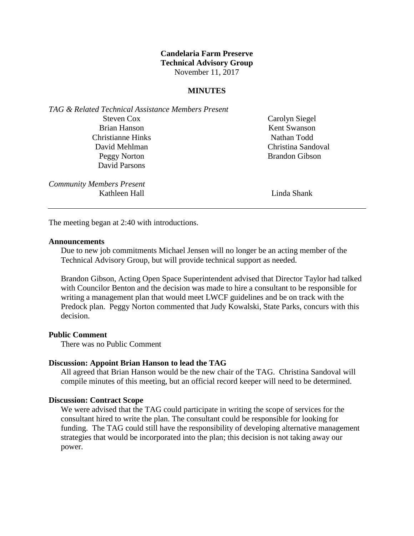## **Candelaria Farm Preserve Technical Advisory Group** November 11, 2017

## **MINUTES**

*TAG & Related Technical Assistance Members Present* Steven Cox Brian Hanson Christianne Hinks David Mehlman Peggy Norton David Parsons

*Community Members Present* Kathleen Hall **Linda Shank** 

Carolyn Siegel Kent Swanson Nathan Todd Christina Sandoval Brandon Gibson

The meeting began at 2:40 with introductions.

### **Announcements**

Due to new job commitments Michael Jensen will no longer be an acting member of the Technical Advisory Group, but will provide technical support as needed.

Brandon Gibson, Acting Open Space Superintendent advised that Director Taylor had talked with Councilor Benton and the decision was made to hire a consultant to be responsible for writing a management plan that would meet LWCF guidelines and be on track with the Predock plan. Peggy Norton commented that Judy Kowalski, State Parks, concurs with this decision.

#### **Public Comment**

There was no Public Comment

#### **Discussion: Appoint Brian Hanson to lead the TAG**

All agreed that Brian Hanson would be the new chair of the TAG. Christina Sandoval will compile minutes of this meeting, but an official record keeper will need to be determined.

#### **Discussion: Contract Scope**

We were advised that the TAG could participate in writing the scope of services for the consultant hired to write the plan. The consultant could be responsible for looking for funding. The TAG could still have the responsibility of developing alternative management strategies that would be incorporated into the plan; this decision is not taking away our power.